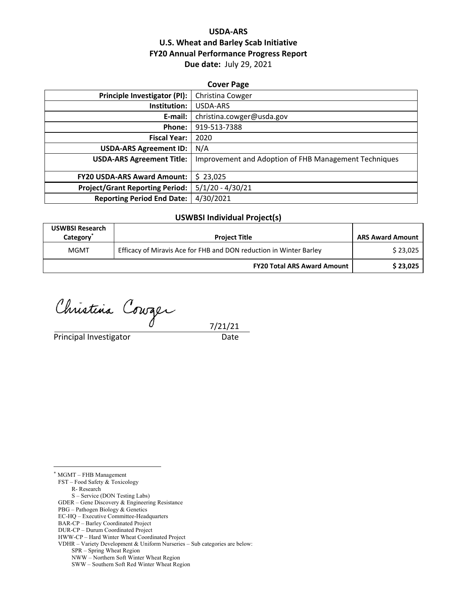## **USDA‐ARS U.S. Wheat and Barley Scab Initiative FY20 Annual Performance Progress Report Due date:** July 29, 2021

| <b>Cover Page</b>                      |                                                       |  |  |  |
|----------------------------------------|-------------------------------------------------------|--|--|--|
| Principle Investigator (PI):           | Christina Cowger                                      |  |  |  |
| Institution:                           | USDA-ARS                                              |  |  |  |
| E-mail:                                | christina.cowger@usda.gov                             |  |  |  |
| Phone:                                 | 919-513-7388                                          |  |  |  |
| <b>Fiscal Year:</b>                    | 2020                                                  |  |  |  |
| <b>USDA-ARS Agreement ID:</b>          | N/A                                                   |  |  |  |
| <b>USDA-ARS Agreement Title:</b>       | Improvement and Adoption of FHB Management Techniques |  |  |  |
|                                        |                                                       |  |  |  |
| <b>FY20 USDA-ARS Award Amount:</b>     | \$23,025                                              |  |  |  |
| <b>Project/Grant Reporting Period:</b> | $5/1/20 - 4/30/21$                                    |  |  |  |
| <b>Reporting Period End Date:</b>      | 4/30/2021                                             |  |  |  |

#### **USWBSI Individual Project(s)**

| <b>USWBSI Research</b><br>Category | <b>Project Title</b>                                               | <b>ARS Award Amount</b> |
|------------------------------------|--------------------------------------------------------------------|-------------------------|
| <b>MGMT</b>                        | Efficacy of Miravis Ace for FHB and DON reduction in Winter Barley | \$23,025                |
|                                    | <b>FY20 Total ARS Award Amount</b>                                 | \$23,025                |

Christina Courger

Principal Investigator **Date** 

7/21/21

\* MGMT – FHB Management

 $\overline{a}$ 

FST – Food Safety & Toxicology

R- Research

S – Service (DON Testing Labs)

GDER – Gene Discovery & Engineering Resistance

PBG – Pathogen Biology & Genetics

BAR-CP – Barley Coordinated Project

EC-HQ – Executive Committee-Headquarters

DUR-CP – Durum Coordinated Project

HWW-CP – Hard Winter Wheat Coordinated Project VDHR – Variety Development & Uniform Nurseries – Sub categories are below:

SPR – Spring Wheat Region

NWW – Northern Soft Winter Wheat Region

SWW – Southern Soft Red Winter Wheat Region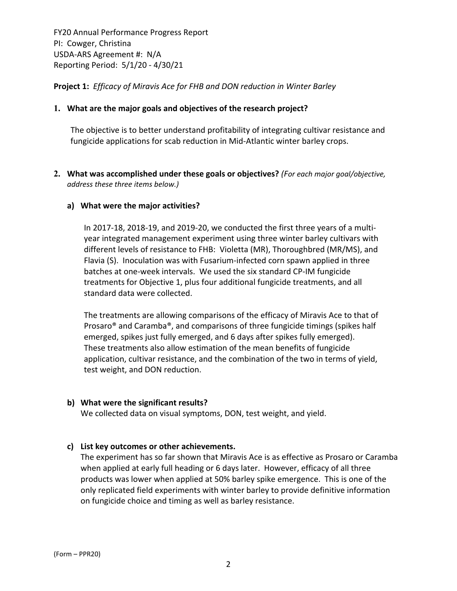**Project 1:** *Efficacy of Miravis Ace for FHB and DON reduction in Winter Barley*

#### **1. What are the major goals and objectives of the research project?**

The objective is to better understand profitability of integrating cultivar resistance and fungicide applications for scab reduction in Mid‐Atlantic winter barley crops.

**2. What was accomplished under these goals or objectives?** *(For each major goal/objective, address these three items below.)*

#### **a) What were the major activities?**

In 2017‐18, 2018‐19, and 2019‐20, we conducted the first three years of a multi‐ year integrated management experiment using three winter barley cultivars with different levels of resistance to FHB: Violetta (MR), Thoroughbred (MR/MS), and Flavia (S). Inoculation was with Fusarium‐infected corn spawn applied in three batches at one‐week intervals. We used the six standard CP‐IM fungicide treatments for Objective 1, plus four additional fungicide treatments, and all standard data were collected.

The treatments are allowing comparisons of the efficacy of Miravis Ace to that of Prosaro® and Caramba®, and comparisons of three fungicide timings (spikes half emerged, spikes just fully emerged, and 6 days after spikes fully emerged). These treatments also allow estimation of the mean benefits of fungicide application, cultivar resistance, and the combination of the two in terms of yield, test weight, and DON reduction.

#### **b) What were the significant results?**

We collected data on visual symptoms, DON, test weight, and yield.

## **c) List key outcomes or other achievements.**

The experiment has so far shown that Miravis Ace is as effective as Prosaro or Caramba when applied at early full heading or 6 days later. However, efficacy of all three products was lower when applied at 50% barley spike emergence. This is one of the only replicated field experiments with winter barley to provide definitive information on fungicide choice and timing as well as barley resistance.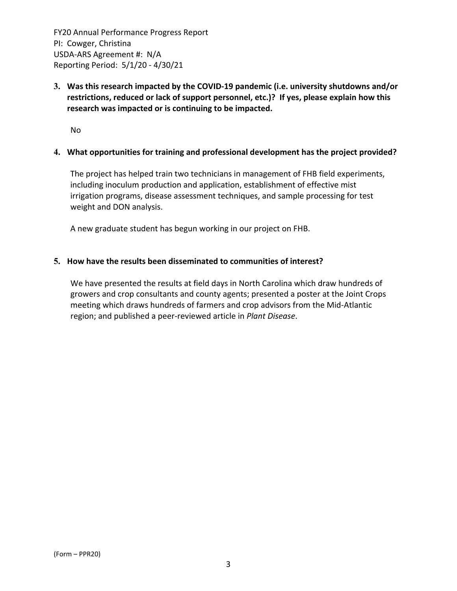**3. Was this research impacted by the COVID‐19 pandemic (i.e. university shutdowns and/or restrictions, reduced or lack of support personnel, etc.)? If yes, please explain how this research was impacted or is continuing to be impacted.**

No

#### **4. What opportunities for training and professional development has the project provided?**

The project has helped train two technicians in management of FHB field experiments, including inoculum production and application, establishment of effective mist irrigation programs, disease assessment techniques, and sample processing for test weight and DON analysis.

A new graduate student has begun working in our project on FHB.

#### **5. How have the results been disseminated to communities of interest?**

We have presented the results at field days in North Carolina which draw hundreds of growers and crop consultants and county agents; presented a poster at the Joint Crops meeting which draws hundreds of farmers and crop advisors from the Mid‐Atlantic region; and published a peer‐reviewed article in *Plant Disease*.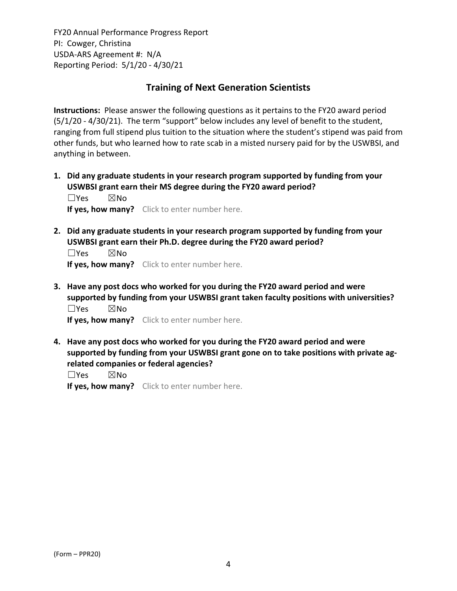## **Training of Next Generation Scientists**

**Instructions:** Please answer the following questions as it pertains to the FY20 award period (5/1/20 ‐ 4/30/21). The term "support" below includes any level of benefit to the student, ranging from full stipend plus tuition to the situation where the student's stipend was paid from other funds, but who learned how to rate scab in a misted nursery paid for by the USWBSI, and anything in between.

**1. Did any graduate students in your research program supported by funding from your USWBSI grant earn their MS degree during the FY20 award period?** ☐Yes ☒No

**If yes, how many?** Click to enter number here.

**2. Did any graduate students in your research program supported by funding from your USWBSI grant earn their Ph.D. degree during the FY20 award period?**

☐Yes ☒No **If yes, how many?** Click to enter number here.

**3. Have any post docs who worked for you during the FY20 award period and were supported by funding from your USWBSI grant taken faculty positions with universities?** ☐Yes ☒No

**If yes, how many?** Click to enter number here.

**4. Have any post docs who worked for you during the FY20 award period and were supported by funding from your USWBSI grant gone on to take positions with private ag‐ related companies or federal agencies?**

☐Yes ☒No

**If yes, how many?** Click to enter number here.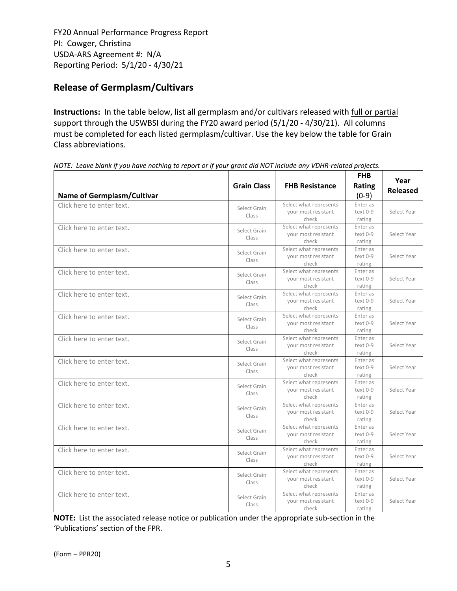# **Release of Germplasm/Cultivars**

**Instructions:** In the table below, list all germplasm and/or cultivars released with full or partial support through the USWBSI during the FY20 award period (5/1/20 - 4/30/21). All columns must be completed for each listed germplasm/cultivar. Use the key below the table for Grain Class abbreviations. 

| <b>Name of Germplasm/Cultivar</b> | <b>Grain Class</b>    | <b>FHB Resistance</b>                                  | <b>FHB</b><br>Rating<br>$(0-9)$ | Year<br><b>Released</b> |
|-----------------------------------|-----------------------|--------------------------------------------------------|---------------------------------|-------------------------|
| Click here to enter text.         | Select Grain<br>Class | Select what represents<br>your most resistant<br>check | Enter as<br>text 0-9<br>rating  | Select Year             |
| Click here to enter text.         | Select Grain<br>Class | Select what represents<br>your most resistant<br>check | Enter as<br>text 0-9<br>rating  | Select Year             |
| Click here to enter text.         | Select Grain<br>Class | Select what represents<br>your most resistant<br>check | Enter as<br>text 0-9<br>rating  | Select Year             |
| Click here to enter text.         | Select Grain<br>Class | Select what represents<br>your most resistant<br>check | Enter as<br>text 0-9<br>rating  | Select Year             |
| Click here to enter text.         | Select Grain<br>Class | Select what represents<br>your most resistant<br>check | Enter as<br>text 0-9<br>rating  | Select Year             |
| Click here to enter text.         | Select Grain<br>Class | Select what represents<br>your most resistant<br>check | Enter as<br>text 0-9<br>rating  | Select Year             |
| Click here to enter text.         | Select Grain<br>Class | Select what represents<br>your most resistant<br>check | Enter as<br>text 0-9<br>rating  | Select Year             |
| Click here to enter text.         | Select Grain<br>Class | Select what represents<br>your most resistant<br>check | Enter as<br>text 0-9<br>rating  | Select Year             |
| Click here to enter text.         | Select Grain<br>Class | Select what represents<br>your most resistant<br>check | Enter as<br>text 0-9<br>rating  | Select Year             |
| Click here to enter text.         | Select Grain<br>Class | Select what represents<br>your most resistant<br>check | Enter as<br>text 0-9<br>rating  | Select Year             |
| Click here to enter text.         | Select Grain<br>Class | Select what represents<br>your most resistant<br>check | Enter as<br>text 0-9<br>rating  | Select Year             |
| Click here to enter text.         | Select Grain<br>Class | Select what represents<br>your most resistant<br>check | Enter as<br>text 0-9<br>rating  | Select Year             |
| Click here to enter text.         | Select Grain<br>Class | Select what represents<br>your most resistant<br>check | Enter as<br>text 0-9<br>rating  | Select Year             |
| Click here to enter text.         | Select Grain<br>Class | Select what represents<br>your most resistant<br>check | Enter as<br>text 0-9<br>rating  | Select Year             |

NOTE: Leave blank if you have nothing to report or if your grant did NOT include any VDHR-related projects.

**NOTE:** List the associated release notice or publication under the appropriate sub-section in the 'Publications' section of the FPR.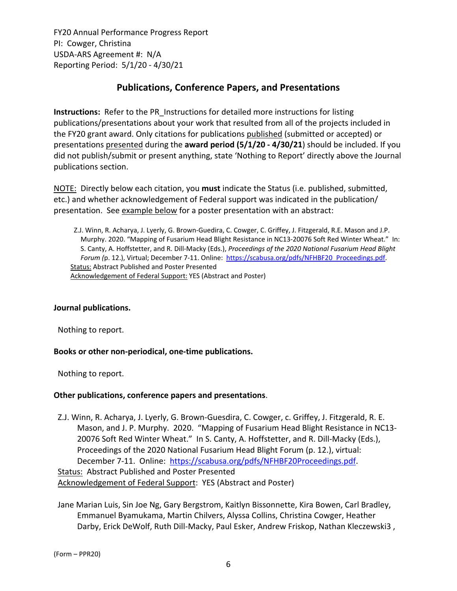## **Publications, Conference Papers, and Presentations**

**Instructions:** Refer to the PR\_Instructions for detailed more instructions for listing publications/presentations about your work that resulted from all of the projects included in the FY20 grant award. Only citations for publications published (submitted or accepted) or presentations presented during the **award period (5/1/20 ‐ 4/30/21**) should be included. If you did not publish/submit or present anything, state 'Nothing to Report' directly above the Journal publications section.

NOTE: Directly below each citation, you **must** indicate the Status (i.e. published, submitted, etc.) and whether acknowledgement of Federal support was indicated in the publication/ presentation. See example below for a poster presentation with an abstract:

Z.J. Winn, R. Acharya, J. Lyerly, G. Brown‐Guedira, C. Cowger, C. Griffey, J. Fitzgerald, R.E. Mason and J.P. Murphy. 2020. "Mapping of Fusarium Head Blight Resistance in NC13‐20076 Soft Red Winter Wheat." In: S. Canty, A. Hoffstetter, and R. Dill‐Macky (Eds.), *Proceedings of the 2020 National Fusarium Head Blight Forum (*p. 12.), Virtual; December 7‐11. Online: https://scabusa.org/pdfs/NFHBF20\_Proceedings.pdf. Status: Abstract Published and Poster Presented Acknowledgement of Federal Support: YES (Abstract and Poster)

## **Journal publications.**

Nothing to report.

## **Books or other non‐periodical, one‐time publications.**

Nothing to report.

#### **Other publications, conference papers and presentations**.

Z.J. Winn, R. Acharya, J. Lyerly, G. Brown‐Guesdira, C. Cowger, c. Griffey, J. Fitzgerald, R. E. Mason, and J. P. Murphy. 2020. "Mapping of Fusarium Head Blight Resistance in NC13‐ 20076 Soft Red Winter Wheat." In S. Canty, A. Hoffstetter, and R. Dill-Macky (Eds.), Proceedings of the 2020 National Fusarium Head Blight Forum (p. 12.), virtual: December 7-11. Online: https://scabusa.org/pdfs/NFHBF20Proceedings.pdf. Status: Abstract Published and Poster Presented Acknowledgement of Federal Support: YES (Abstract and Poster)

Jane Marian Luis, Sin Joe Ng, Gary Bergstrom, Kaitlyn Bissonnette, Kira Bowen, Carl Bradley, Emmanuel Byamukama, Martin Chilvers, Alyssa Collins, Christina Cowger, Heather Darby, Erick DeWolf, Ruth Dill-Macky, Paul Esker, Andrew Friskop, Nathan Kleczewski3,